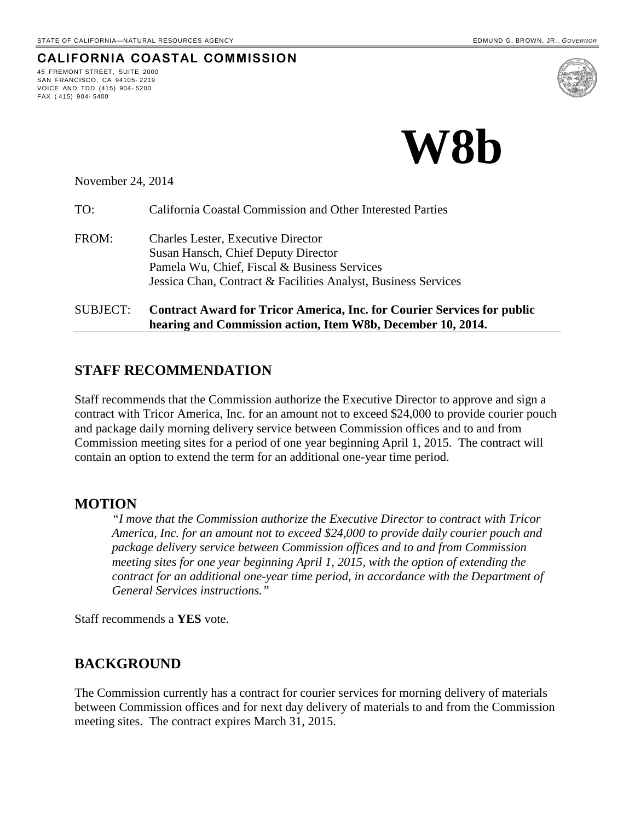45 FREMONT STREET, SUITE 2000 SAN FRANCISCO, CA 94105- 2219 VOICE AND TDD (415) 904- 5200

FAX ( 415) 904- 5400

**CALIFORNIA COASTAL COMMISSION**



November 24, 2014

| <b>SUBJECT:</b> | <b>Contract Award for Tricor America, Inc. for Courier Services for public</b><br>hearing and Commission action, Item W8b, December 10, 2014.                                                      |
|-----------------|----------------------------------------------------------------------------------------------------------------------------------------------------------------------------------------------------|
| FROM:           | <b>Charles Lester, Executive Director</b><br>Susan Hansch, Chief Deputy Director<br>Pamela Wu, Chief, Fiscal & Business Services<br>Jessica Chan, Contract & Facilities Analyst, Business Services |
| TO:             | California Coastal Commission and Other Interested Parties                                                                                                                                         |

### **STAFF RECOMMENDATION**

Staff recommends that the Commission authorize the Executive Director to approve and sign a contract with Tricor America, Inc. for an amount not to exceed \$24,000 to provide courier pouch and package daily morning delivery service between Commission offices and to and from Commission meeting sites for a period of one year beginning April 1, 2015. The contract will contain an option to extend the term for an additional one-year time period.

#### **MOTION**

*"I move that the Commission authorize the Executive Director to contract with Tricor America, Inc. for an amount not to exceed \$24,000 to provide daily courier pouch and package delivery service between Commission offices and to and from Commission meeting sites for one year beginning April 1, 2015, with the option of extending the contract for an additional one-year time period, in accordance with the Department of General Services instructions."* 

Staff recommends a **YES** vote.

#### **BACKGROUND**

The Commission currently has a contract for courier services for morning delivery of materials between Commission offices and for next day delivery of materials to and from the Commission meeting sites. The contract expires March 31, 2015.